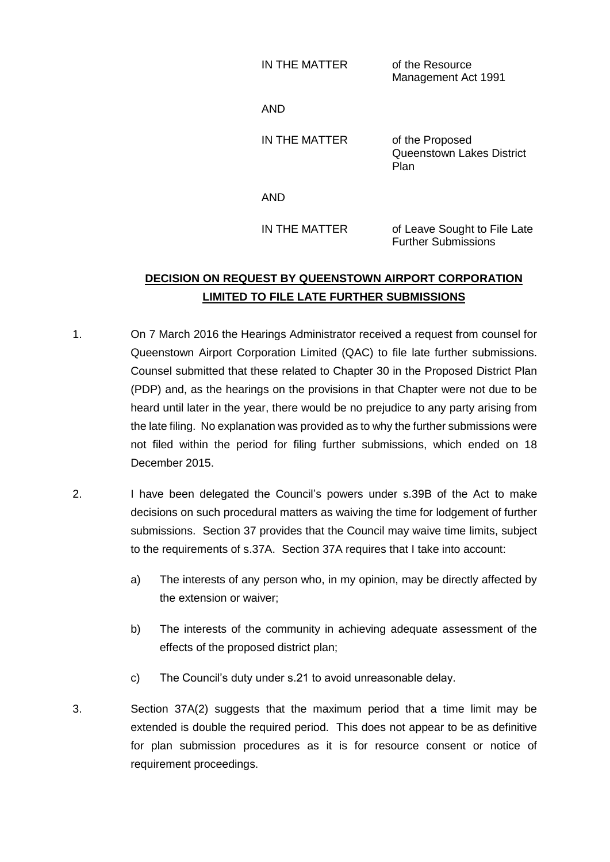IN THE MATTER of the Resource

Management Act 1991

AND

IN THE MATTER of the Proposed Queenstown Lakes District Plan

AND

IN THE MATTER of Leave Sought to File Late Further Submissions

## **DECISION ON REQUEST BY QUEENSTOWN AIRPORT CORPORATION LIMITED TO FILE LATE FURTHER SUBMISSIONS**

- 1. On 7 March 2016 the Hearings Administrator received a request from counsel for Queenstown Airport Corporation Limited (QAC) to file late further submissions. Counsel submitted that these related to Chapter 30 in the Proposed District Plan (PDP) and, as the hearings on the provisions in that Chapter were not due to be heard until later in the year, there would be no prejudice to any party arising from the late filing. No explanation was provided as to why the further submissions were not filed within the period for filing further submissions, which ended on 18 December 2015.
- 2. I have been delegated the Council's powers under s.39B of the Act to make decisions on such procedural matters as waiving the time for lodgement of further submissions. Section 37 provides that the Council may waive time limits, subject to the requirements of s.37A. Section 37A requires that I take into account:
	- a) The interests of any person who, in my opinion, may be directly affected by the extension or waiver;
	- b) The interests of the community in achieving adequate assessment of the effects of the proposed district plan;
	- c) The Council's duty under s.21 to avoid unreasonable delay.
- 3. Section 37A(2) suggests that the maximum period that a time limit may be extended is double the required period. This does not appear to be as definitive for plan submission procedures as it is for resource consent or notice of requirement proceedings.